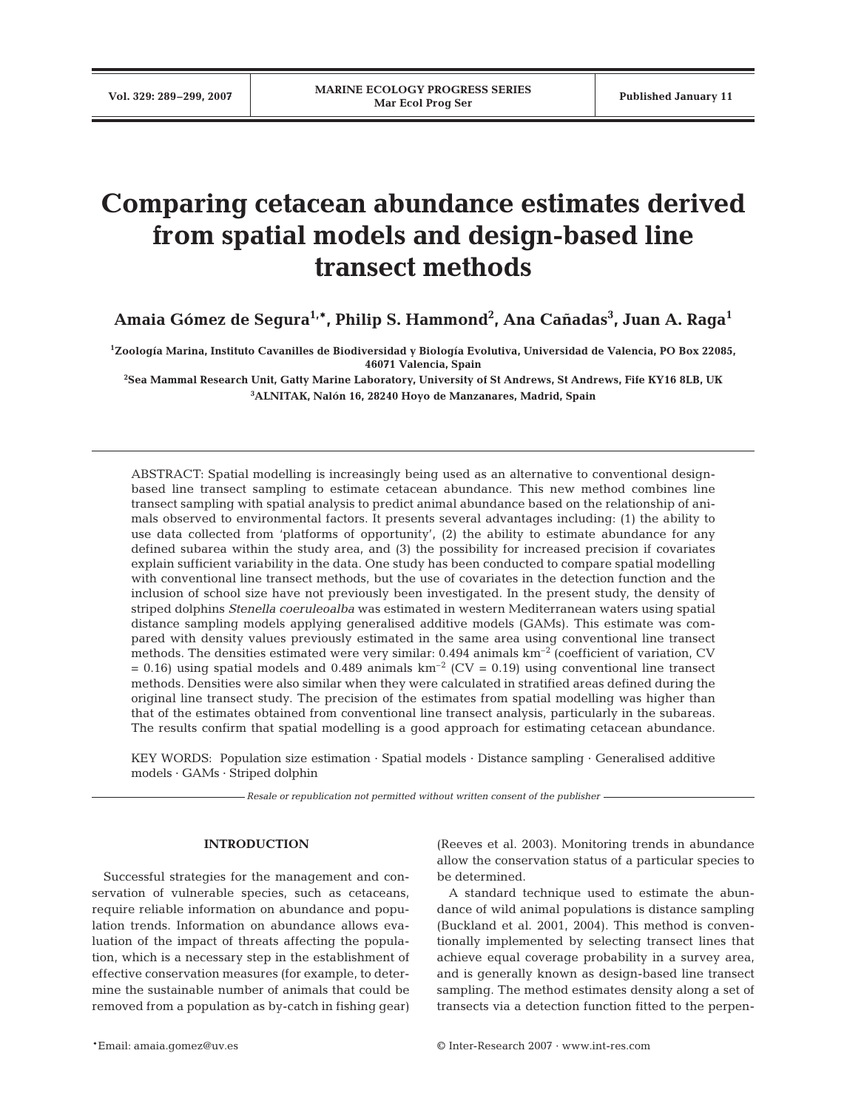# **Comparing cetacean abundance estimates derived from spatial models and design-based line transect methods**

**Amaia Gómez de Segura1,\*, Philip S. Hammond2 , Ana Cañadas3 , Juan A. Raga1**

**1 Zoología Marina, Instituto Cavanilles de Biodiversidad y Biología Evolutiva, Universidad de Valencia, PO Box 22085, 46071 Valencia, Spain**

**2 Sea Mammal Research Unit, Gatty Marine Laboratory, University of St Andrews, St Andrews, Fife KY16 8LB, UK 3 ALNITAK, Nalón 16, 28240 Hoyo de Manzanares, Madrid, Spain**

ABSTRACT: Spatial modelling is increasingly being used as an alternative to conventional designbased line transect sampling to estimate cetacean abundance. This new method combines line transect sampling with spatial analysis to predict animal abundance based on the relationship of animals observed to environmental factors. It presents several advantages including: (1) the ability to use data collected from 'platforms of opportunity', (2) the ability to estimate abundance for any defined subarea within the study area, and (3) the possibility for increased precision if covariates explain sufficient variability in the data. One study has been conducted to compare spatial modelling with conventional line transect methods, but the use of covariates in the detection function and the inclusion of school size have not previously been investigated. In the present study, the density of striped dolphins *Stenella coeruleoalba* was estimated in western Mediterranean waters using spatial distance sampling models applying generalised additive models (GAMs). This estimate was compared with density values previously estimated in the same area using conventional line transect methods. The densities estimated were very similar: 0.494 animals km–2 (coefficient of variation, CV = 0.16) using spatial models and 0.489 animals  $km^{-2}$  (CV = 0.19) using conventional line transect methods. Densities were also similar when they were calculated in stratified areas defined during the original line transect study. The precision of the estimates from spatial modelling was higher than that of the estimates obtained from conventional line transect analysis, particularly in the subareas. The results confirm that spatial modelling is a good approach for estimating cetacean abundance.

KEY WORDS: Population size estimation · Spatial models · Distance sampling · Generalised additive models · GAMs · Striped dolphin

*Resale or republication not permitted without written consent of the publisher*

#### **INTRODUCTION**

Successful strategies for the management and conservation of vulnerable species, such as cetaceans, require reliable information on abundance and population trends. Information on abundance allows evaluation of the impact of threats affecting the population, which is a necessary step in the establishment of effective conservation measures (for example, to determine the sustainable number of animals that could be removed from a population as by-catch in fishing gear) (Reeves et al. 2003). Monitoring trends in abundance allow the conservation status of a particular species to be determined.

A standard technique used to estimate the abundance of wild animal populations is distance sampling (Buckland et al. 2001, 2004). This method is conventionally implemented by selecting transect lines that achieve equal coverage probability in a survey area, and is generally known as design-based line transect sampling. The method estimates density along a set of transects via a detection function fitted to the perpen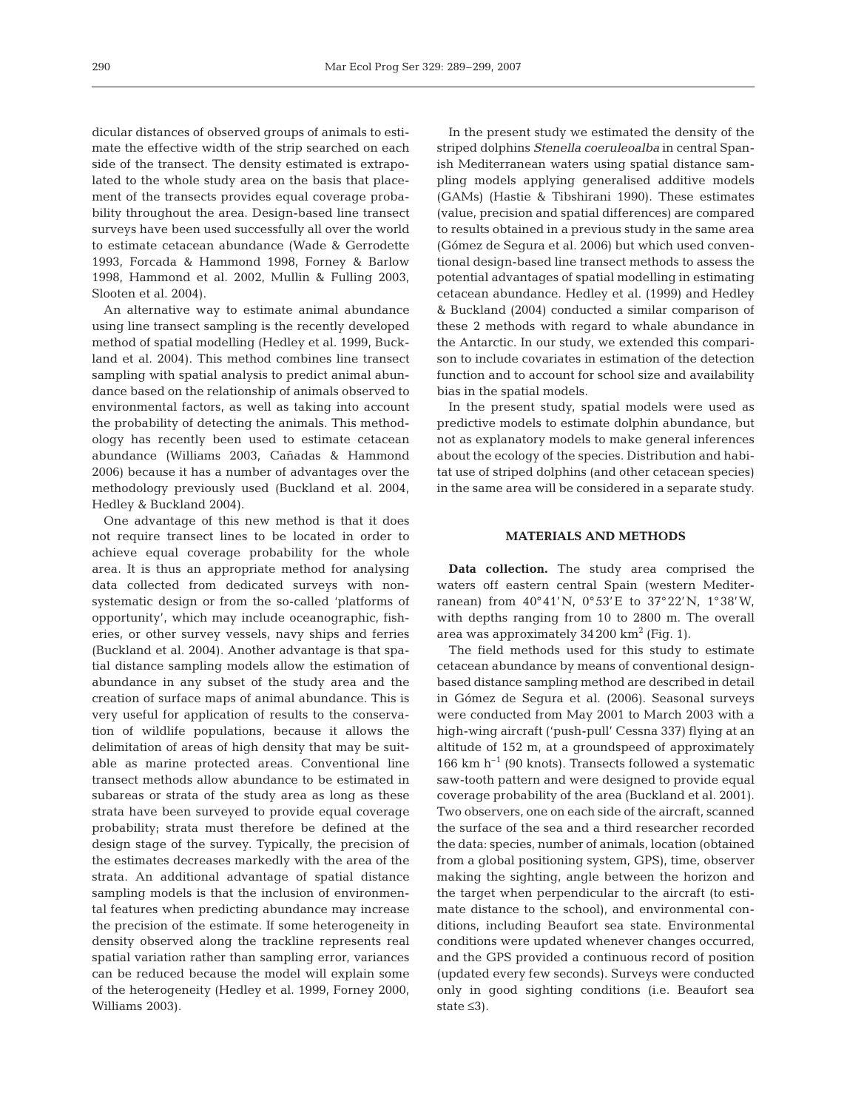dicular distances of observed groups of animals to estimate the effective width of the strip searched on each side of the transect. The density estimated is extrapolated to the whole study area on the basis that placement of the transects provides equal coverage probability throughout the area. Design-based line transect surveys have been used successfully all over the world to estimate cetacean abundance (Wade & Gerrodette 1993, Forcada & Hammond 1998, Forney & Barlow 1998, Hammond et al. 2002, Mullin & Fulling 2003, Slooten et al. 2004).

An alternative way to estimate animal abundance using line transect sampling is the recently developed method of spatial modelling (Hedley et al. 1999, Buckland et al. 2004). This method combines line transect sampling with spatial analysis to predict animal abundance based on the relationship of animals observed to environmental factors, as well as taking into account the probability of detecting the animals. This methodology has recently been used to estimate cetacean abundance (Williams 2003, Cañadas & Hammond 2006) because it has a number of advantages over the methodology previously used (Buckland et al. 2004, Hedley & Buckland 2004).

One advantage of this new method is that it does not require transect lines to be located in order to achieve equal coverage probability for the whole area. It is thus an appropriate method for analysing data collected from dedicated surveys with nonsystematic design or from the so-called 'platforms of opportunity', which may include oceanographic, fisheries, or other survey vessels, navy ships and ferries (Buckland et al. 2004). Another advantage is that spatial distance sampling models allow the estimation of abundance in any subset of the study area and the creation of surface maps of animal abundance. This is very useful for application of results to the conservation of wildlife populations, because it allows the delimitation of areas of high density that may be suitable as marine protected areas. Conventional line transect methods allow abundance to be estimated in subareas or strata of the study area as long as these strata have been surveyed to provide equal coverage probability; strata must therefore be defined at the design stage of the survey. Typically, the precision of the estimates decreases markedly with the area of the strata. An additional advantage of spatial distance sampling models is that the inclusion of environmental features when predicting abundance may increase the precision of the estimate. If some heterogeneity in density observed along the trackline represents real spatial variation rather than sampling error, variances can be reduced because the model will explain some of the heterogeneity (Hedley et al. 1999, Forney 2000, Williams 2003).

In the present study we estimated the density of the striped dolphins *Stenella coeruleoalba* in central Spanish Mediterranean waters using spatial distance sampling models applying generalised additive models (GAMs) (Hastie & Tibshirani 1990). These estimates (value, precision and spatial differences) are compared to results obtained in a previous study in the same area (Gómez de Segura et al. 2006) but which used conventional design-based line transect methods to assess the potential advantages of spatial modelling in estimating cetacean abundance. Hedley et al. (1999) and Hedley & Buckland (2004) conducted a similar comparison of these 2 methods with regard to whale abundance in the Antarctic. In our study, we extended this comparison to include covariates in estimation of the detection function and to account for school size and availability bias in the spatial models.

In the present study, spatial models were used as predictive models to estimate dolphin abundance, but not as explanatory models to make general inferences about the ecology of the species. Distribution and habitat use of striped dolphins (and other cetacean species) in the same area will be considered in a separate study.

## **MATERIALS AND METHODS**

**Data collection.** The study area comprised the waters off eastern central Spain (western Mediterranean) from 40°41'N, 0°53'E to 37°22'N, 1°38'W, with depths ranging from 10 to 2800 m. The overall area was approximately  $34200 \text{ km}^2$  (Fig. 1).

The field methods used for this study to estimate cetacean abundance by means of conventional designbased distance sampling method are described in detail in Gómez de Segura et al. (2006). Seasonal surveys were conducted from May 2001 to March 2003 with a high-wing aircraft ('push-pull' Cessna 337) flying at an altitude of 152 m, at a groundspeed of approximately 166 km  $h^{-1}$  (90 knots). Transects followed a systematic saw-tooth pattern and were designed to provide equal coverage probability of the area (Buckland et al. 2001). Two observers, one on each side of the aircraft, scanned the surface of the sea and a third researcher recorded the data: species, number of animals, location (obtained from a global positioning system, GPS), time, observer making the sighting, angle between the horizon and the target when perpendicular to the aircraft (to estimate distance to the school), and environmental conditions, including Beaufort sea state. Environmental conditions were updated whenever changes occurred, and the GPS provided a continuous record of position (updated every few seconds). Surveys were conducted only in good sighting conditions (i.e. Beaufort sea state ≤3).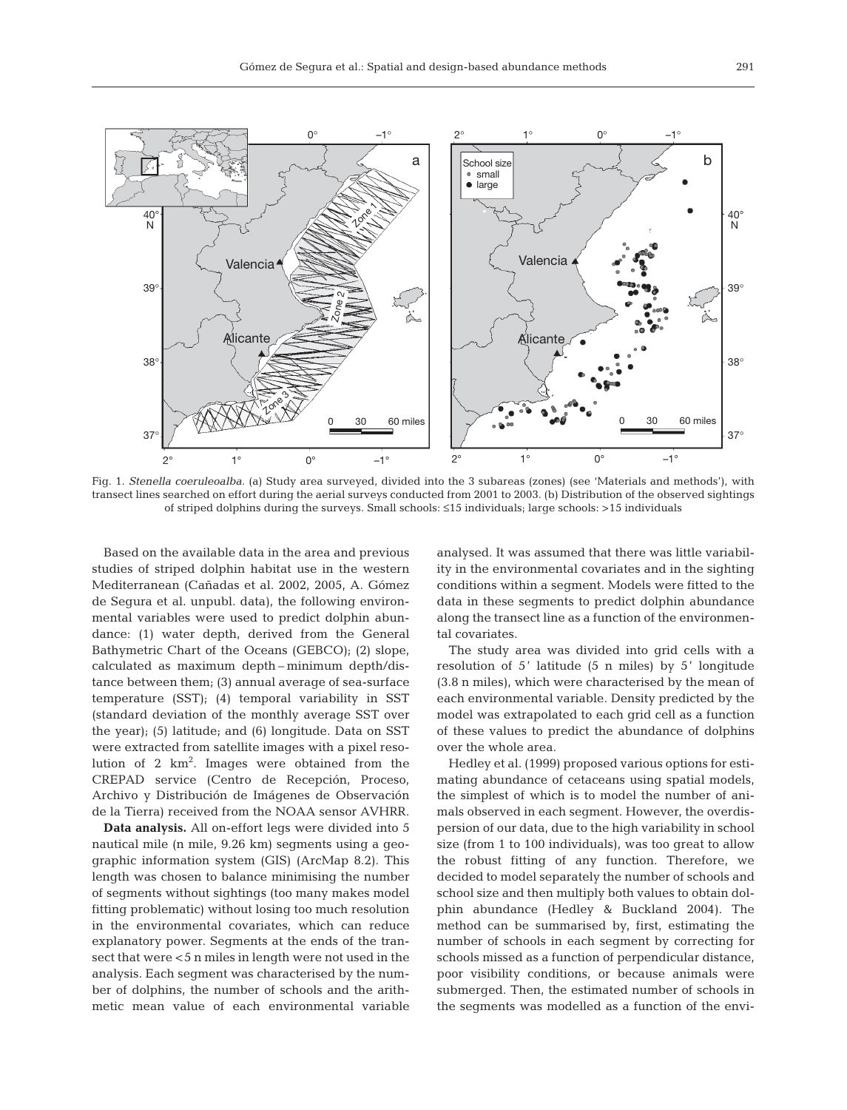

Fig. 1. *Stenella coeruleoalba.* (a) Study area surveyed, divided into the 3 subareas (zones) (see 'Materials and methods'), with transect lines searched on effort during the aerial surveys conducted from 2001 to 2003. (b) Distribution of the observed sightings of striped dolphins during the surveys. Small schools: ≤15 individuals; large schools: >15 individuals

Based on the available data in the area and previous studies of striped dolphin habitat use in the western Mediterranean (Cañadas et al. 2002, 2005, A. Gómez de Segura et al. unpubl. data), the following environmental variables were used to predict dolphin abundance: (1) water depth, derived from the General Bathymetric Chart of the Oceans (GEBCO); (2) slope, calculated as maximum depth – minimum depth/distance between them; (3) annual average of sea-surface temperature (SST); (4) temporal variability in SST (standard deviation of the monthly average SST over the year); (5) latitude; and (6) longitude. Data on SST were extracted from satellite images with a pixel resolution of 2 km<sup>2</sup>. Images were obtained from the CREPAD service (Centro de Recepción, Proceso, Archivo y Distribución de Imágenes de Observación de la Tierra) received from the NOAA sensor AVHRR.

**Data analysis.** All on-effort legs were divided into 5 nautical mile (n mile, 9.26 km) segments using a geographic information system (GIS) (ArcMap 8.2). This length was chosen to balance minimising the number of segments without sightings (too many makes model fitting problematic) without losing too much resolution in the environmental covariates, which can reduce explanatory power. Segments at the ends of the transect that were <5 n miles in length were not used in the analysis. Each segment was characterised by the number of dolphins, the number of schools and the arithmetic mean value of each environmental variable

analysed. It was assumed that there was little variability in the environmental covariates and in the sighting conditions within a segment. Models were fitted to the data in these segments to predict dolphin abundance along the transect line as a function of the environmental covariates.

The study area was divided into grid cells with a resolution of 5' latitude (5 n miles) by 5' longitude (3.8 n miles), which were characterised by the mean of each environmental variable. Density predicted by the model was extrapolated to each grid cell as a function of these values to predict the abundance of dolphins over the whole area.

Hedley et al. (1999) proposed various options for estimating abundance of cetaceans using spatial models, the simplest of which is to model the number of animals observed in each segment. However, the overdispersion of our data, due to the high variability in school size (from 1 to 100 individuals), was too great to allow the robust fitting of any function. Therefore, we decided to model separately the number of schools and school size and then multiply both values to obtain dolphin abundance (Hedley & Buckland 2004). The method can be summarised by, first, estimating the number of schools in each segment by correcting for schools missed as a function of perpendicular distance, poor visibility conditions, or because animals were submerged. Then, the estimated number of schools in the segments was modelled as a function of the envi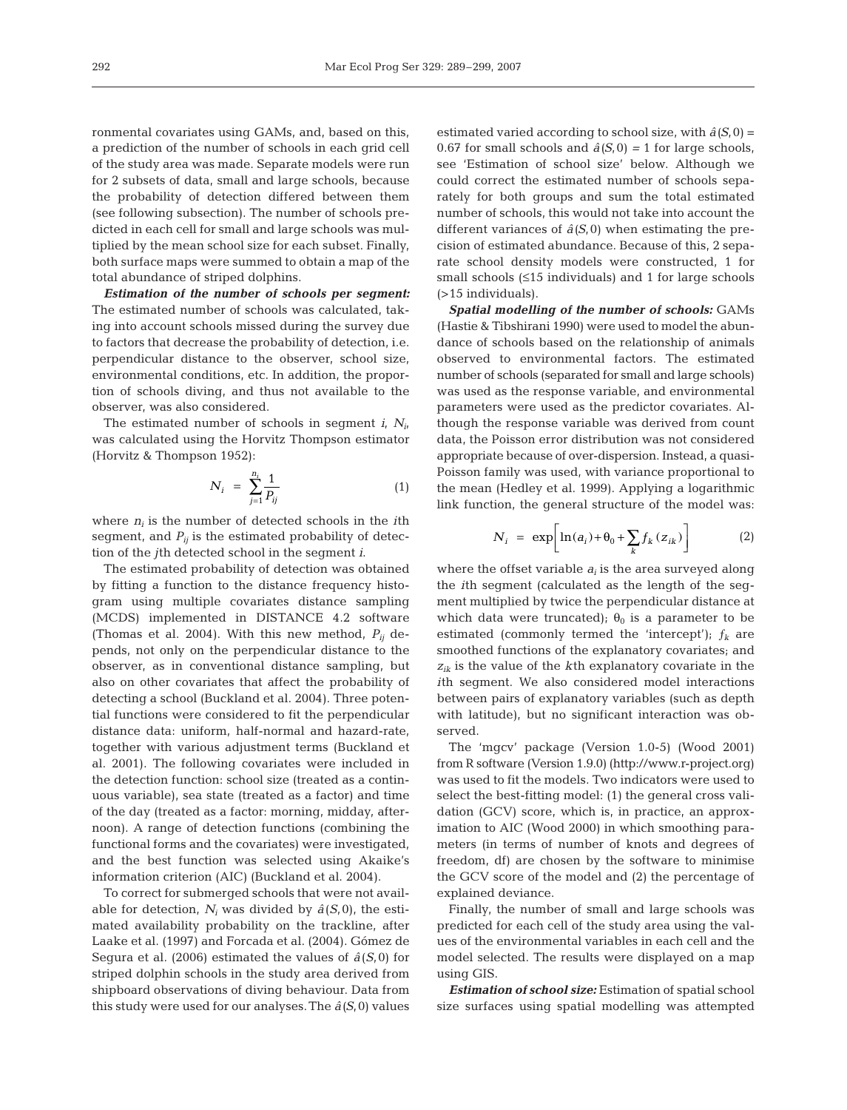ronmental covariates using GAMs, and, based on this, a prediction of the number of schools in each grid cell of the study area was made. Separate models were run for 2 subsets of data, small and large schools, because the probability of detection differed between them (see following subsection). The number of schools predicted in each cell for small and large schools was multiplied by the mean school size for each subset. Finally, both surface maps were summed to obtain a map of the total abundance of striped dolphins.

*Estimation of the number of schools per segment:* The estimated number of schools was calculated, taking into account schools missed during the survey due to factors that decrease the probability of detection, i.e. perpendicular distance to the observer, school size, environmental conditions, etc. In addition, the proportion of schools diving, and thus not available to the observer, was also considered.

The estimated number of schools in segment *i*, *Ni*, was calculated using the Horvitz Thompson estimator (Horvitz & Thompson 1952):

$$
N_i = \sum_{j=1}^{n_i} \frac{1}{P_{ij}} \tag{1}
$$

where  $n_i$  is the number of detected schools in the *i*th segment, and  $P_{ij}$  is the estimated probability of detection of the *j*th detected school in the segment *i*.

The estimated probability of detection was obtained by fitting a function to the distance frequency histogram using multiple covariates distance sampling (MCDS) implemented in DISTANCE 4.2 software (Thomas et al. 2004). With this new method,  $P_{ii}$  depends, not only on the perpendicular distance to the observer, as in conventional distance sampling, but also on other covariates that affect the probability of detecting a school (Buckland et al. 2004). Three potential functions were considered to fit the perpendicular distance data: uniform, half-normal and hazard-rate, together with various adjustment terms (Buckland et al. 2001). The following covariates were included in the detection function: school size (treated as a continuous variable), sea state (treated as a factor) and time of the day (treated as a factor: morning, midday, afternoon). A range of detection functions (combining the functional forms and the covariates) were investigated, and the best function was selected using Akaike's information criterion (AIC) (Buckland et al. 2004).

To correct for submerged schools that were not available for detection,  $N_i$  was divided by  $\hat{a}(S,0)$ , the estimated availability probability on the trackline, after Laake et al. (1997) and Forcada et al. (2004). Gómez de Segura et al*.* (2006) estimated the values of *â*(*S*,0) for striped dolphin schools in the study area derived from shipboard observations of diving behaviour. Data from this study were used for our analyses.The *â(S*,0) values

estimated varied according to school size, with  $\hat{a}(S,0)$  = 0.67 for small schools and  $\hat{a}(S,0) = 1$  for large schools, see 'Estimation of school size' below. Although we could correct the estimated number of schools separately for both groups and sum the total estimated number of schools, this would not take into account the different variances of  $\hat{a}(S,0)$  when estimating the precision of estimated abundance. Because of this, 2 separate school density models were constructed, 1 for small schools (≤15 individuals) and 1 for large schools (>15 individuals).

*Spatial modelling of the number of schools:* GAMs (Hastie & Tibshirani 1990) were used to model the abundance of schools based on the relationship of animals observed to environmental factors. The estimated number of schools (separated for small and large schools) was used as the response variable, and environmental parameters were used as the predictor covariates. Although the response variable was derived from count data, the Poisson error distribution was not considered appropriate because of over-dispersion. Instead, a quasi-Poisson family was used, with variance proportional to the mean (Hedley et al. 1999). Applying a logarithmic link function, the general structure of the model was:

$$
N_i = \exp\left[\ln(a_i) + \theta_0 + \sum_k f_k(z_{ik})\right] \tag{2}
$$

where the offset variable  $a_i$  is the area surveyed along the *i*th segment (calculated as the length of the segment multiplied by twice the perpendicular distance at which data were truncated);  $\theta_0$  is a parameter to be estimated (commonly termed the 'intercept');  $f_k$  are smoothed functions of the explanatory covariates; and *zik* is the value of the *k*th explanatory covariate in the *i*th segment. We also considered model interactions between pairs of explanatory variables (such as depth with latitude), but no significant interaction was observed.

The 'mgcv' package (Version 1.0-5) (Wood 2001) from R software (Version 1.9.0) (http://www.r-project.org) was used to fit the models. Two indicators were used to select the best-fitting model: (1) the general cross validation (GCV) score, which is, in practice, an approximation to AIC (Wood 2000) in which smoothing parameters (in terms of number of knots and degrees of freedom, df) are chosen by the software to minimise the GCV score of the model and (2) the percentage of explained deviance.

Finally, the number of small and large schools was predicted for each cell of the study area using the values of the environmental variables in each cell and the model selected. The results were displayed on a map using GIS.

*Estimation of school size:* Estimation of spatial school size surfaces using spatial modelling was attempted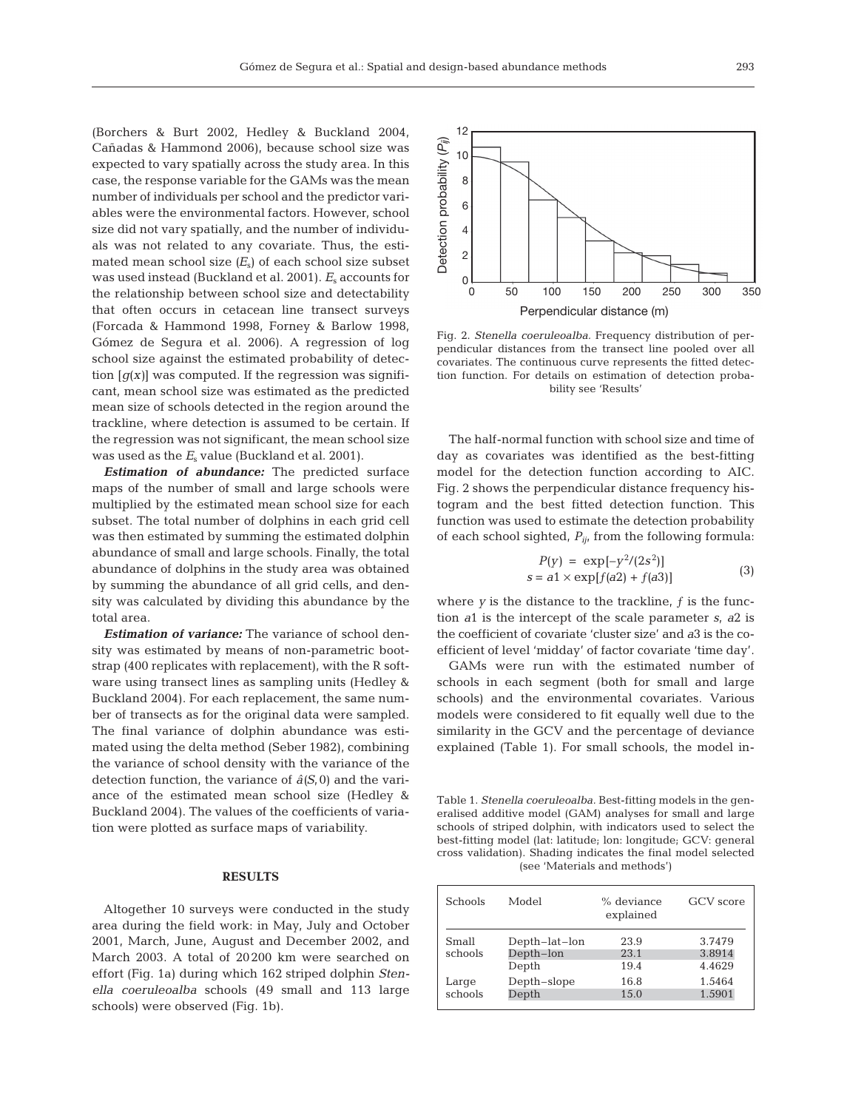(Borchers & Burt 2002, Hedley & Buckland 2004, Cañadas & Hammond 2006), because school size was expected to vary spatially across the study area. In this case, the response variable for the GAMs was the mean number of individuals per school and the predictor variables were the environmental factors. However, school size did not vary spatially, and the number of individuals was not related to any covariate. Thus, the estimated mean school size  $(E_s)$  of each school size subset was used instead (Buckland et al. 2001). *E*<sub>s</sub> accounts for the relationship between school size and detectability that often occurs in cetacean line transect surveys (Forcada & Hammond 1998, Forney & Barlow 1998, Gómez de Segura et al. 2006). A regression of log school size against the estimated probability of detection  $[g(x)]$  was computed. If the regression was significant, mean school size was estimated as the predicted mean size of schools detected in the region around the trackline, where detection is assumed to be certain. If the regression was not significant, the mean school size was used as the  $E<sub>s</sub>$  value (Buckland et al. 2001).

*Estimation of abundance:* The predicted surface maps of the number of small and large schools were multiplied by the estimated mean school size for each subset. The total number of dolphins in each grid cell was then estimated by summing the estimated dolphin abundance of small and large schools. Finally, the total abundance of dolphins in the study area was obtained by summing the abundance of all grid cells, and density was calculated by dividing this abundance by the total area.

*Estimation of variance:* The variance of school density was estimated by means of non-parametric bootstrap (400 replicates with replacement), with the R software using transect lines as sampling units (Hedley & Buckland 2004). For each replacement, the same number of transects as for the original data were sampled. The final variance of dolphin abundance was estimated using the delta method (Seber 1982), combining the variance of school density with the variance of the detection function, the variance of  $\hat{a}(S,0)$  and the variance of the estimated mean school size (Hedley & Buckland 2004). The values of the coefficients of variation were plotted as surface maps of variability.

### **RESULTS**

Altogether 10 surveys were conducted in the study area during the field work: in May, July and October 2001, March, June, August and December 2002, and March 2003. A total of 20200 km were searched on effort (Fig. 1a) during which 162 striped dolphin *Stenella coeruleoalba* schools (49 small and 113 large schools) were observed (Fig. 1b).



Fig. 2. *Stenella coeruleoalba.* Frequency distribution of perpendicular distances from the transect line pooled over all covariates. The continuous curve represents the fitted detection function. For details on estimation of detection probability see 'Results'

The half-normal function with school size and time of day as covariates was identified as the best-fitting model for the detection function according to AIC. Fig. 2 shows the perpendicular distance frequency histogram and the best fitted detection function. This function was used to estimate the detection probability of each school sighted, *Pij*, from the following formula:

$$
P(y) = \exp[-y^2/(2s^2)]
$$
  
s = a1 × exp[f(a2) + f(a3)] (3)

where  $y$  is the distance to the trackline,  $f$  is the function *a*1 is the intercept of the scale parameter *s*, *a*2 is the coefficient of covariate 'cluster size' and *a*3 is the coefficient of level 'midday' of factor covariate 'time day'.

GAMs were run with the estimated number of schools in each segment (both for small and large schools) and the environmental covariates. Various models were considered to fit equally well due to the similarity in the GCV and the percentage of deviance explained (Table 1). For small schools, the model in-

Table 1. *Stenella coeruleoalba.* Best-fitting models in the generalised additive model (GAM) analyses for small and large schools of striped dolphin, with indicators used to select the best-fitting model (lat: latitude; lon: longitude; GCV: general cross validation). Shading indicates the final model selected (see 'Materials and methods')

| <b>Schools</b>   | Model                               | $%$ deviance<br>explained | <b>GCV</b> score           |
|------------------|-------------------------------------|---------------------------|----------------------------|
| Small<br>schools | Depth-lat-lon<br>Depth-lon<br>Depth | 23.9<br>23.1<br>19.4      | 3.7479<br>3.8914<br>4.4629 |
| Large<br>schools | Depth-slope<br>Depth                | 16.8<br>15.0              | 1.5464<br>1.5901           |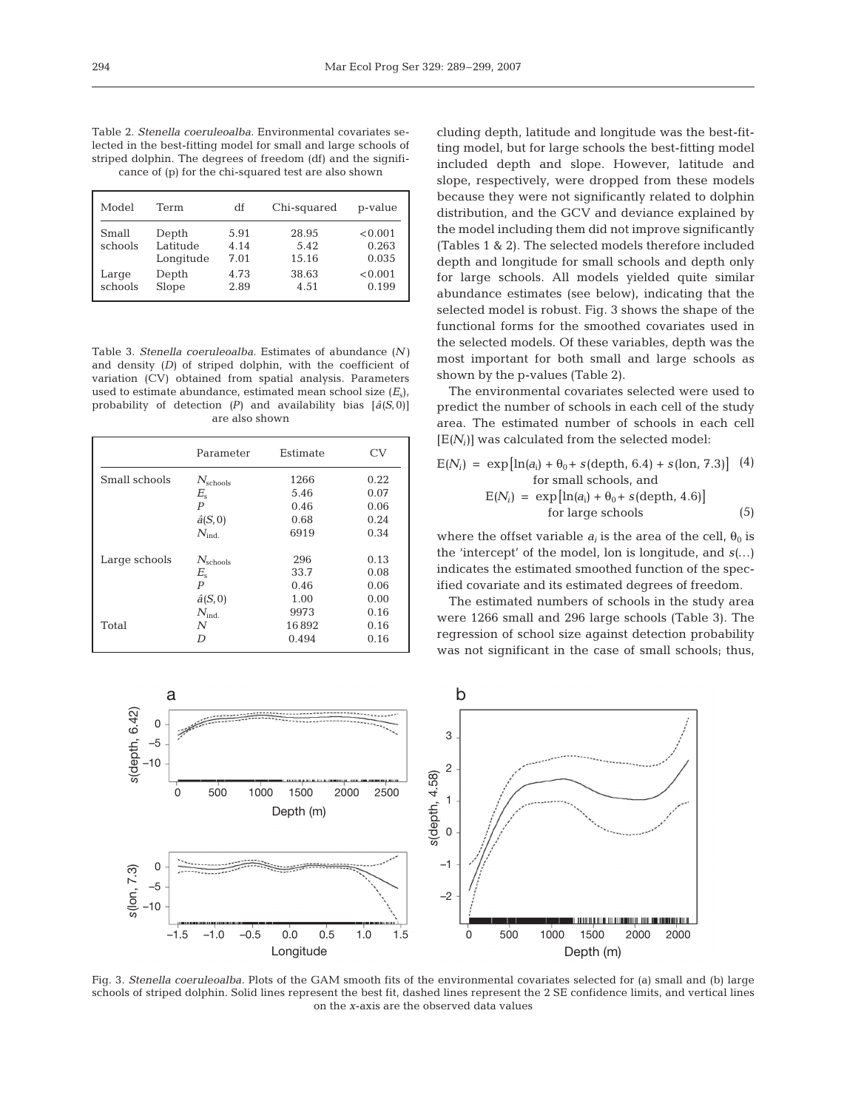Table 2. *Stenella coeruleoalba.* Environmental covariates selected in the best-fitting model for small and large schools of striped dolphin. The degrees of freedom (df) and the significance of (p) for the chi-squared test are also shown

| Model            | Term                           | df                   | Chi-squared            | p-value                   |
|------------------|--------------------------------|----------------------|------------------------|---------------------------|
| Small<br>schools | Depth<br>Latitude<br>Longitude | 5.91<br>4.14<br>7.01 | 28.95<br>5.42<br>15.16 | < 0.001<br>0.263<br>0.035 |
| Large<br>schools | Depth<br>Slope                 | 4.73<br>2.89         | 38.63<br>4.51          | < 0.001<br>0.199          |

Table 3. *Stenella coeruleoalba.* Estimates of abundance *(N)* and density *(D)* of striped dolphin, with the coefficient of variation (CV) obtained from spatial analysis. Parameters used to estimate abundance, estimated mean school size  $(E_s)$ , probability of detection *(P)* and availability bias [*â(S*,0)] are also shown

|               | Parameter               | Estimate | CV   |
|---------------|-------------------------|----------|------|
| Small schools | $N_{\text{schools}}$    | 1266     | 0.22 |
|               | $E_{\rm s}$             | 5.46     | 0.07 |
|               | $\boldsymbol{P}$        | 0.46     | 0.06 |
|               | $\hat{a}(S,0)$          | 0.68     | 0.24 |
|               | $N_{\rm ind}$           | 6919     | 0.34 |
| Large schools | $N_{\text{schools}}$    | 296      | 0.13 |
|               | $E_{\rm s}$             | 33.7     | 0.08 |
|               | $\boldsymbol{P}$        | 0.46     | 0.06 |
|               | $\hat{a}(S,0)$          | 1.00     | 0.00 |
|               | $N_{\rm ind.}$          | 9973     | 0.16 |
| Total         | $\overline{\mathsf{N}}$ | 16892    | 0.16 |
|               | D                       | 0.494    | 0.16 |

cluding depth, latitude and longitude was the best-fitting model, but for large schools the best-fitting model included depth and slope. However, latitude and slope, respectively, were dropped from these models because they were not significantly related to dolphin distribution, and the GCV and deviance explained by the model including them did not improve significantly (Tables 1 & 2). The selected models therefore included depth and longitude for small schools and depth only for large schools. All models yielded quite similar abundance estimates (see below), indicating that the selected model is robust. Fig. 3 shows the shape of the functional forms for the smoothed covariates used in the selected models. Of these variables, depth was the most important for both small and large schools as shown by the p-values (Table 2).

The environmental covariates selected were used to predict the number of schools in each cell of the study area. The estimated number of schools in each cell  $[E(N_i)]$  was calculated from the selected model:

$$
E(N_i) = \exp\left[\ln(a_i) + \theta_0 + s(\text{depth}, 6.4) + s(\text{lon}, 7.3)\right] \tag{4}
$$
\n
$$
\text{for small schools, and}
$$
\n
$$
E(N_i) = \exp\left[\ln(a_i) + \theta_0 + s(\text{depth}, 4.6)\right]
$$
\n
$$
\text{for large schools} \tag{5}
$$

where the offset variable  $a_i$  is the area of the cell,  $\theta_0$  is the 'intercept' of the model, lon is longitude, and *s(*…) indicates the estimated smoothed function of the specified covariate and its estimated degrees of freedom.

The estimated numbers of schools in the study area were 1266 small and 296 large schools (Table 3). The regression of school size against detection probability was not significant in the case of small schools; thus,



Fig. 3. *Stenella coeruleoalba.* Plots of the GAM smooth fits of the environmental covariates selected for (a) small and (b) large schools of striped dolphin. Solid lines represent the best fit, dashed lines represent the 2 SE confidence limits, and vertical lines on the *x*-axis are the observed data values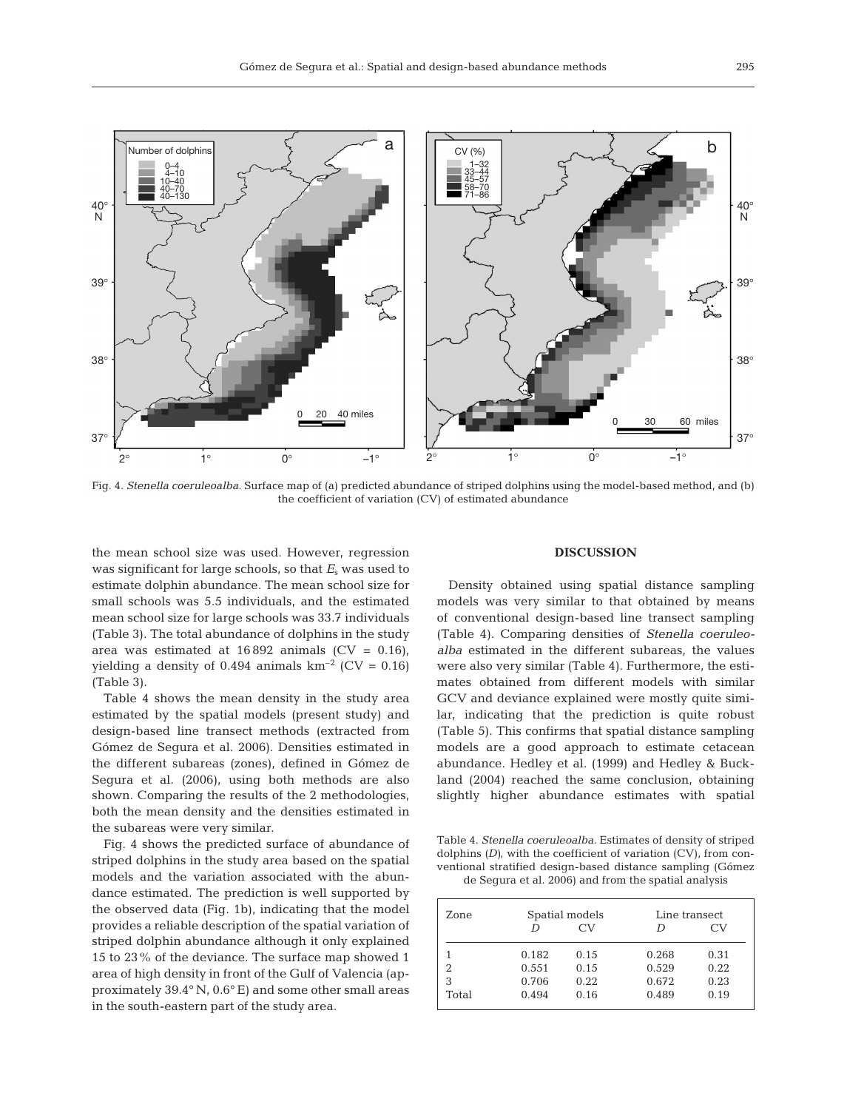

Fig. 4. *Stenella coeruleoalba.* Surface map of (a) predicted abundance of striped dolphins using the model-based method, and (b) the coefficient of variation (CV) of estimated abundance

the mean school size was used. However, regression was significant for large schools, so that  $E<sub>s</sub>$  was used to estimate dolphin abundance. The mean school size for small schools was 5.5 individuals, and the estimated mean school size for large schools was 33.7 individuals (Table 3). The total abundance of dolphins in the study area was estimated at  $16892$  animals  $(CV = 0.16)$ , yielding a density of 0.494 animals  $km^{-2}$  (CV = 0.16) (Table 3).

Table 4 shows the mean density in the study area estimated by the spatial models (present study) and design-based line transect methods (extracted from Gómez de Segura et al. 2006). Densities estimated in the different subareas (zones), defined in Gómez de Segura et al. (2006), using both methods are also shown. Comparing the results of the 2 methodologies, both the mean density and the densities estimated in the subareas were very similar.

Fig. 4 shows the predicted surface of abundance of striped dolphins in the study area based on the spatial models and the variation associated with the abundance estimated. The prediction is well supported by the observed data (Fig. 1b), indicating that the model provides a reliable description of the spatial variation of striped dolphin abundance although it only explained 15 to 23% of the deviance. The surface map showed 1 area of high density in front of the Gulf of Valencia (approximately 39.4° N, 0.6° E) and some other small areas in the south-eastern part of the study area.

#### **DISCUSSION**

Density obtained using spatial distance sampling models was very similar to that obtained by means of conventional design-based line transect sampling (Table 4). Comparing densities of *Stenella coeruleoalba* estimated in the different subareas, the values were also very similar (Table 4). Furthermore, the estimates obtained from different models with similar GCV and deviance explained were mostly quite similar, indicating that the prediction is quite robust (Table 5). This confirms that spatial distance sampling models are a good approach to estimate cetacean abundance. Hedley et al. (1999) and Hedley & Buckland (2004) reached the same conclusion, obtaining slightly higher abundance estimates with spatial

Table 4. *Stenella coeruleoalba.* Estimates of density of striped dolphins *(D)*, with the coefficient of variation (CV), from conventional stratified design-based distance sampling (Gómez de Segura et al. 2006) and from the spatial analysis

| Zone  | Spatial models |      | Line transect |      |  |
|-------|----------------|------|---------------|------|--|
|       |                | CV   |               | CV   |  |
|       | 0.182          | 0.15 | 0.268         | 0.31 |  |
| 2     | 0.551          | 0.15 | 0.529         | 0.22 |  |
| 3     | 0.706          | 0.22 | 0.672         | 0.23 |  |
| Total | 0.494          | 0.16 | 0.489         | 0.19 |  |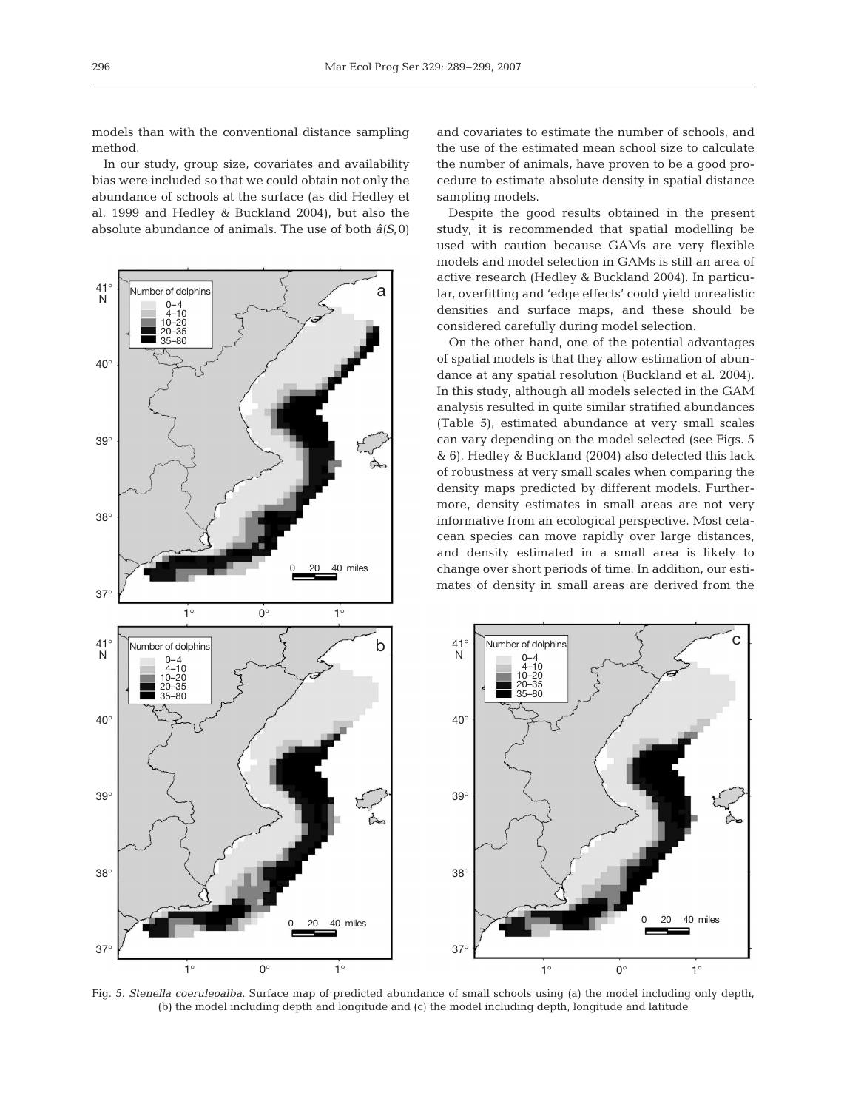models than with the conventional distance sampling method.

In our study, group size, covariates and availability bias were included so that we could obtain not only the abundance of schools at the surface (as did Hedley et al. 1999 and Hedley & Buckland 2004), but also the absolute abundance of animals. The use of both *â(S*,0)



and covariates to estimate the number of schools, and the use of the estimated mean school size to calculate the number of animals, have proven to be a good procedure to estimate absolute density in spatial distance sampling models.

Despite the good results obtained in the present study, it is recommended that spatial modelling be used with caution because GAMs are very flexible models and model selection in GAMs is still an area of active research (Hedley & Buckland 2004). In particular, overfitting and 'edge effects' could yield unrealistic densities and surface maps, and these should be considered carefully during model selection.

On the other hand, one of the potential advantages of spatial models is that they allow estimation of abundance at any spatial resolution (Buckland et al. 2004). In this study, although all models selected in the GAM analysis resulted in quite similar stratified abundances (Table 5), estimated abundance at very small scales can vary depending on the model selected (see Figs. 5 & 6). Hedley & Buckland (2004) also detected this lack of robustness at very small scales when comparing the density maps predicted by different models. Furthermore, density estimates in small areas are not very informative from an ecological perspective. Most cetacean species can move rapidly over large distances, and density estimated in a small area is likely to change over short periods of time. In addition, our estimates of density in small areas are derived from the



Fig. 5. *Stenella coeruleoalba.* Surface map of predicted abundance of small schools using (a) the model including only depth, (b) the model including depth and longitude and (c) the model including depth, longitude and latitude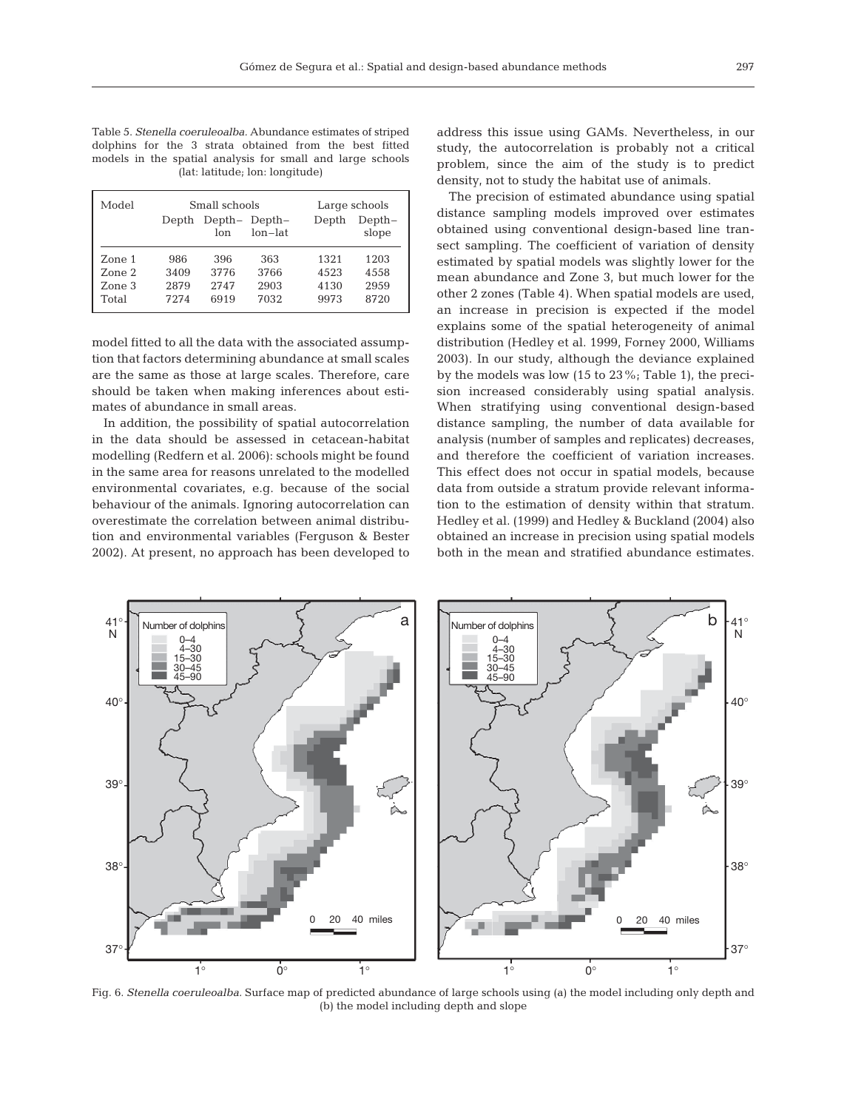Table 5. *Stenella coeruleoalba.* Abundance estimates of striped dolphins for the 3 strata obtained from the best fitted models in the spatial analysis for small and large schools (lat: latitude; lon: longitude)

| Model                               | Small schools               |                             |                               | Large schools                |                              |
|-------------------------------------|-----------------------------|-----------------------------|-------------------------------|------------------------------|------------------------------|
|                                     | Depth                       | lon                         | Depth-Depth-<br>$lon$ - $lat$ | Depth                        | Depth-<br>slope              |
| Zone 1<br>Zone 2<br>Zone 3<br>Total | 986<br>3409<br>2879<br>7274 | 396<br>3776<br>2747<br>6919 | 363<br>3766<br>2903<br>7032   | 1321<br>4523<br>4130<br>9973 | 1203<br>4558<br>2959<br>8720 |

model fitted to all the data with the associated assumption that factors determining abundance at small scales are the same as those at large scales. Therefore, care should be taken when making inferences about estimates of abundance in small areas.

In addition, the possibility of spatial autocorrelation in the data should be assessed in cetacean-habitat modelling (Redfern et al. 2006): schools might be found in the same area for reasons unrelated to the modelled environmental covariates, e.g. because of the social behaviour of the animals. Ignoring autocorrelation can overestimate the correlation between animal distribution and environmental variables (Ferguson & Bester 2002). At present, no approach has been developed to address this issue using GAMs. Nevertheless, in our study, the autocorrelation is probably not a critical problem, since the aim of the study is to predict density, not to study the habitat use of animals.

The precision of estimated abundance using spatial distance sampling models improved over estimates obtained using conventional design-based line transect sampling. The coefficient of variation of density estimated by spatial models was slightly lower for the mean abundance and Zone 3, but much lower for the other 2 zones (Table 4). When spatial models are used, an increase in precision is expected if the model explains some of the spatial heterogeneity of animal distribution (Hedley et al. 1999, Forney 2000, Williams 2003). In our study, although the deviance explained by the models was low (15 to 23%; Table 1), the precision increased considerably using spatial analysis. When stratifying using conventional design-based distance sampling, the number of data available for analysis (number of samples and replicates) decreases, and therefore the coefficient of variation increases. This effect does not occur in spatial models, because data from outside a stratum provide relevant information to the estimation of density within that stratum. Hedley et al. (1999) and Hedley & Buckland (2004) also obtained an increase in precision using spatial models both in the mean and stratified abundance estimates.



Fig. 6. *Stenella coeruleoalba.* Surface map of predicted abundance of large schools using (a) the model including only depth and (b) the model including depth and slope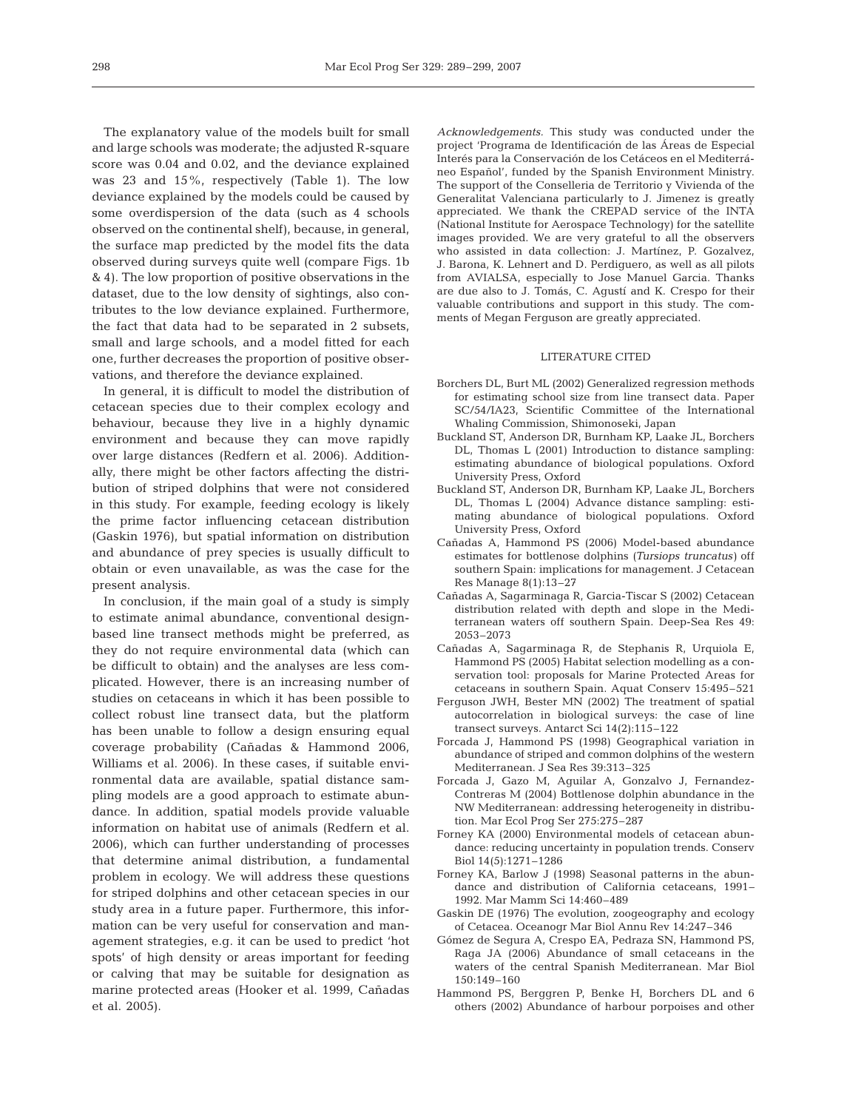The explanatory value of the models built for small and large schools was moderate; the adjusted R-square score was 0.04 and 0.02, and the deviance explained was 23 and 15%, respectively (Table 1). The low deviance explained by the models could be caused by some overdispersion of the data (such as 4 schools observed on the continental shelf), because, in general, the surface map predicted by the model fits the data observed during surveys quite well (compare Figs. 1b & 4). The low proportion of positive observations in the dataset, due to the low density of sightings, also contributes to the low deviance explained. Furthermore, the fact that data had to be separated in 2 subsets, small and large schools, and a model fitted for each one, further decreases the proportion of positive observations, and therefore the deviance explained.

In general, it is difficult to model the distribution of cetacean species due to their complex ecology and behaviour, because they live in a highly dynamic environment and because they can move rapidly over large distances (Redfern et al. 2006). Additionally, there might be other factors affecting the distribution of striped dolphins that were not considered in this study. For example, feeding ecology is likely the prime factor influencing cetacean distribution (Gaskin 1976), but spatial information on distribution and abundance of prey species is usually difficult to obtain or even unavailable, as was the case for the present analysis.

In conclusion, if the main goal of a study is simply to estimate animal abundance, conventional designbased line transect methods might be preferred, as they do not require environmental data (which can be difficult to obtain) and the analyses are less complicated. However, there is an increasing number of studies on cetaceans in which it has been possible to collect robust line transect data, but the platform has been unable to follow a design ensuring equal coverage probability (Cañadas & Hammond 2006, Williams et al. 2006). In these cases, if suitable environmental data are available, spatial distance sampling models are a good approach to estimate abundance. In addition, spatial models provide valuable information on habitat use of animals (Redfern et al. 2006), which can further understanding of processes that determine animal distribution, a fundamental problem in ecology. We will address these questions for striped dolphins and other cetacean species in our study area in a future paper. Furthermore, this information can be very useful for conservation and management strategies, e.g. it can be used to predict 'hot spots' of high density or areas important for feeding or calving that may be suitable for designation as marine protected areas (Hooker et al. 1999, Cañadas et al. 2005).

*Acknowledgements.* This study was conducted under the project 'Programa de Identificación de las Áreas de Especial Interés para la Conservación de los Cetáceos en el Mediterráneo Español', funded by the Spanish Environment Ministry. The support of the Conselleria de Territorio y Vivienda of the Generalitat Valenciana particularly to J. Jimenez is greatly appreciated. We thank the CREPAD service of the INTA (National Institute for Aerospace Technology) for the satellite images provided. We are very grateful to all the observers who assisted in data collection: J. Martínez, P. Gozalvez, J. Barona, K. Lehnert and D. Perdiguero, as well as all pilots from AVIALSA, especially to Jose Manuel Garcia. Thanks are due also to J. Tomás, C. Agustí and K. Crespo for their valuable contributions and support in this study. The comments of Megan Ferguson are greatly appreciated.

### LITERATURE CITED

- Borchers DL, Burt ML (2002) Generalized regression methods for estimating school size from line transect data. Paper SC/54/IA23, Scientific Committee of the International Whaling Commission, Shimonoseki, Japan
- Buckland ST, Anderson DR, Burnham KP, Laake JL, Borchers DL, Thomas L (2001) Introduction to distance sampling: estimating abundance of biological populations. Oxford University Press, Oxford
- Buckland ST, Anderson DR, Burnham KP, Laake JL, Borchers DL, Thomas L (2004) Advance distance sampling: estimating abundance of biological populations. Oxford University Press, Oxford
- Cañadas A, Hammond PS (2006) Model-based abundance estimates for bottlenose dolphins *(Tursiops truncatus)* off southern Spain: implications for management. J Cetacean Res Manage 8(1):13–27
- Cañadas A, Sagarminaga R, Garcia-Tiscar S (2002) Cetacean distribution related with depth and slope in the Mediterranean waters off southern Spain. Deep-Sea Res 49: 2053–2073
- Cañadas A, Sagarminaga R, de Stephanis R, Urquiola E, Hammond PS (2005) Habitat selection modelling as a conservation tool: proposals for Marine Protected Areas for cetaceans in southern Spain. Aquat Conserv 15:495–521
- Ferguson JWH, Bester MN (2002) The treatment of spatial autocorrelation in biological surveys: the case of line transect surveys. Antarct Sci 14(2):115–122
- Forcada J, Hammond PS (1998) Geographical variation in abundance of striped and common dolphins of the western Mediterranean. J Sea Res 39:313–325
- Forcada J, Gazo M, Aguilar A, Gonzalvo J, Fernandez-Contreras M (2004) Bottlenose dolphin abundance in the NW Mediterranean: addressing heterogeneity in distribution. Mar Ecol Prog Ser 275:275–287
- Forney KA (2000) Environmental models of cetacean abundance: reducing uncertainty in population trends. Conserv Biol 14(5):1271–1286
- Forney KA, Barlow J (1998) Seasonal patterns in the abundance and distribution of California cetaceans, 1991– 1992. Mar Mamm Sci 14:460–489
- Gaskin DE (1976) The evolution, zoogeography and ecology of Cetacea. Oceanogr Mar Biol Annu Rev 14:247–346
- Gómez de Segura A, Crespo EA, Pedraza SN, Hammond PS, Raga JA (2006) Abundance of small cetaceans in the waters of the central Spanish Mediterranean. Mar Biol 150:149–160
- Hammond PS, Berggren P, Benke H, Borchers DL and 6 others (2002) Abundance of harbour porpoises and other